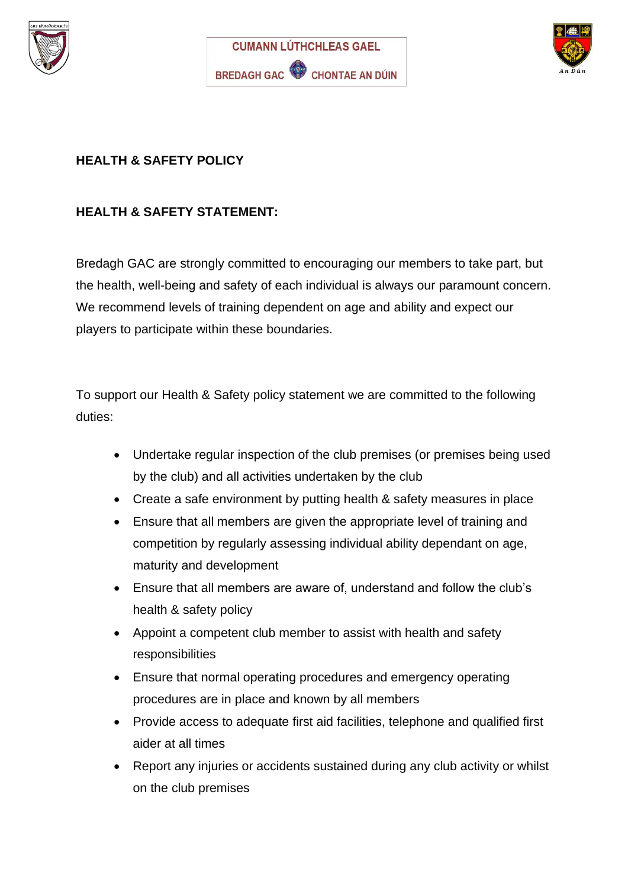





# **HEALTH & SAFETY POLICY**

# **HEALTH & SAFETY STATEMENT:**

Bredagh GAC are strongly committed to encouraging our members to take part, but the health, well-being and safety of each individual is always our paramount concern. We recommend levels of training dependent on age and ability and expect our players to participate within these boundaries.

To support our Health & Safety policy statement we are committed to the following duties:

- Undertake regular inspection of the club premises (or premises being used by the club) and all activities undertaken by the club
- Create a safe environment by putting health & safety measures in place
- Ensure that all members are given the appropriate level of training and competition by regularly assessing individual ability dependant on age, maturity and development
- Ensure that all members are aware of, understand and follow the club's health & safety policy
- Appoint a competent club member to assist with health and safety responsibilities
- Ensure that normal operating procedures and emergency operating procedures are in place and known by all members
- Provide access to adequate first aid facilities, telephone and qualified first aider at all times
- Report any injuries or accidents sustained during any club activity or whilst on the club premises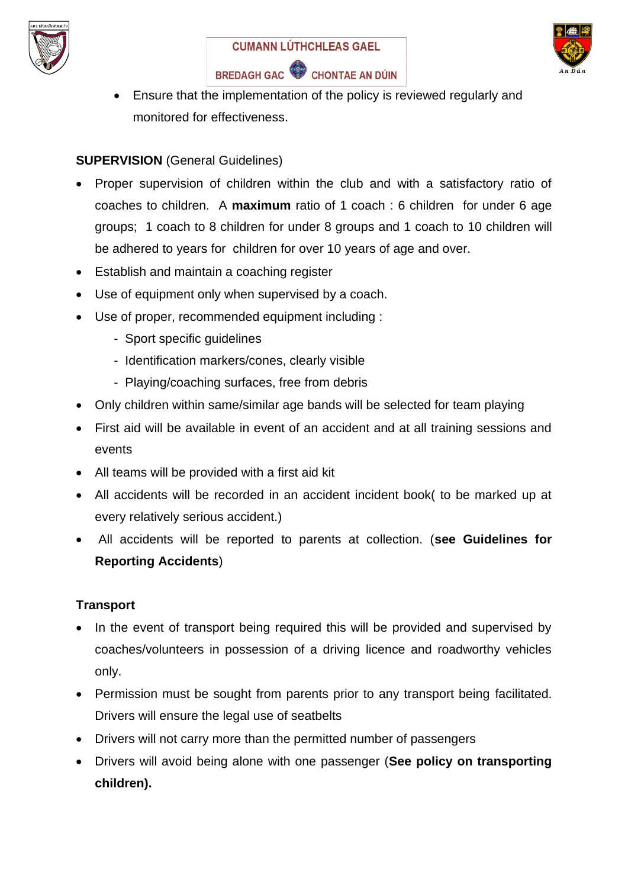





• Ensure that the implementation of the policy is reviewed regularly and monitored for effectiveness.

## **SUPERVISION** (General Guidelines)

- Proper supervision of children within the club and with a satisfactory ratio of coaches to children. A **maximum** ratio of 1 coach : 6 children for under 6 age groups; 1 coach to 8 children for under 8 groups and 1 coach to 10 children will be adhered to years for children for over 10 years of age and over.
- Establish and maintain a coaching register
- Use of equipment only when supervised by a coach.
- Use of proper, recommended equipment including :
	- Sport specific guidelines
	- Identification markers/cones, clearly visible
	- Playing/coaching surfaces, free from debris
- Only children within same/similar age bands will be selected for team playing
- First aid will be available in event of an accident and at all training sessions and events
- All teams will be provided with a first aid kit
- All accidents will be recorded in an accident incident book( to be marked up at every relatively serious accident.)
- All accidents will be reported to parents at collection. (**see Guidelines for Reporting Accidents**)

## **Transport**

- In the event of transport being required this will be provided and supervised by coaches/volunteers in possession of a driving licence and roadworthy vehicles only.
- Permission must be sought from parents prior to any transport being facilitated. Drivers will ensure the legal use of seatbelts
- Drivers will not carry more than the permitted number of passengers
- Drivers will avoid being alone with one passenger (**See policy on transporting children).**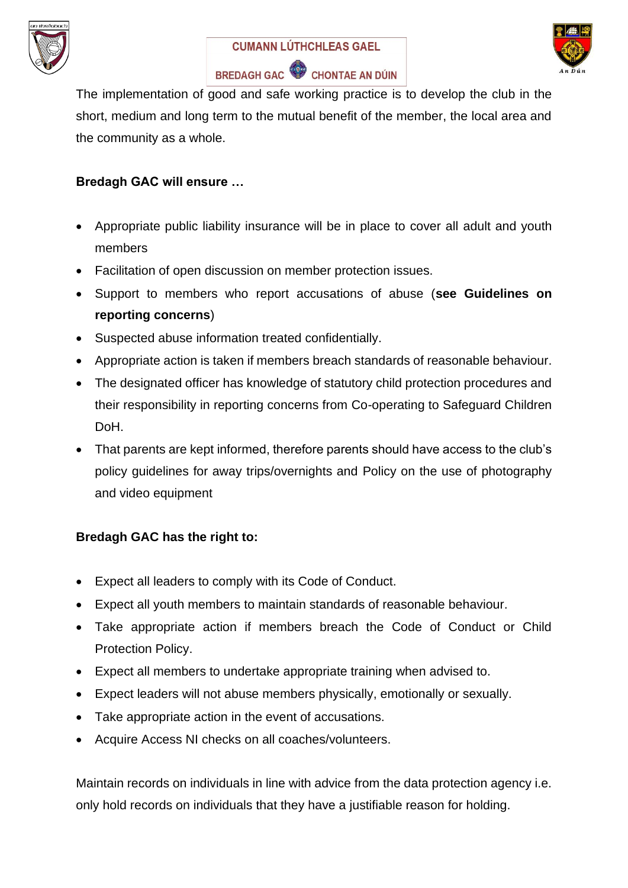





The implementation of good and safe working practice is to develop the club in the short, medium and long term to the mutual benefit of the member, the local area and the community as a whole.

## **Bredagh GAC will ensure …**

- Appropriate public liability insurance will be in place to cover all adult and youth members
- Facilitation of open discussion on member protection issues.
- Support to members who report accusations of abuse (**see Guidelines on reporting concerns**)
- Suspected abuse information treated confidentially.
- Appropriate action is taken if members breach standards of reasonable behaviour.
- The designated officer has knowledge of statutory child protection procedures and their responsibility in reporting concerns from Co-operating to Safeguard Children DoH.
- That parents are kept informed, therefore parents should have access to the club's policy guidelines for away trips/overnights and Policy on the use of photography and video equipment

## **Bredagh GAC has the right to:**

- Expect all leaders to comply with its Code of Conduct.
- Expect all youth members to maintain standards of reasonable behaviour.
- Take appropriate action if members breach the Code of Conduct or Child Protection Policy.
- Expect all members to undertake appropriate training when advised to.
- Expect leaders will not abuse members physically, emotionally or sexually.
- Take appropriate action in the event of accusations.
- Acquire Access NI checks on all coaches/volunteers.

Maintain records on individuals in line with advice from the data protection agency i.e. only hold records on individuals that they have a justifiable reason for holding.